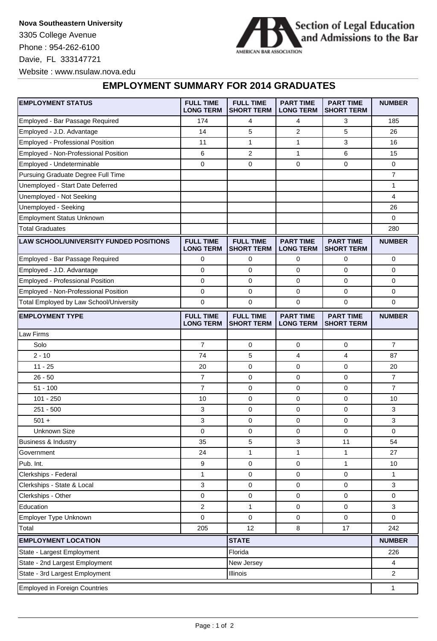**Nova Southeastern University** 3305 College Avenue Phone : 954-262-6100 Davie, FL 333147721 Website : www.nsulaw.nova.edu



## **EMPLOYMENT SUMMARY FOR 2014 GRADUATES**

| <b>EMPLOYMENT STATUS</b>                      | <b>FULL TIME</b><br><b>LONG TERM</b> | <b>FULL TIME</b><br><b>SHORT TERM</b> | <b>PART TIME</b><br><b>LONG TERM</b> | <b>PART TIME</b><br><b>SHORT TERM</b> | <b>NUMBER</b>  |
|-----------------------------------------------|--------------------------------------|---------------------------------------|--------------------------------------|---------------------------------------|----------------|
| Employed - Bar Passage Required               | 174                                  | 4                                     | 4                                    | 3                                     | 185            |
| Employed - J.D. Advantage                     | 14                                   | 5                                     | 2                                    | 5                                     | 26             |
| Employed - Professional Position              | 11                                   | $\mathbf{1}$                          | 1                                    | 3                                     | 16             |
| Employed - Non-Professional Position          | 6                                    | 2                                     | 1                                    | 6                                     | 15             |
| Employed - Undeterminable                     | $\mathbf 0$                          | 0                                     | $\mathbf 0$                          | $\mathbf{0}$                          | $\mathbf 0$    |
| Pursuing Graduate Degree Full Time            |                                      |                                       |                                      |                                       | $\overline{7}$ |
| Unemployed - Start Date Deferred              |                                      |                                       |                                      |                                       | 1              |
| Unemployed - Not Seeking                      |                                      |                                       |                                      |                                       | $\overline{4}$ |
| Unemployed - Seeking                          |                                      |                                       |                                      |                                       | 26             |
| <b>Employment Status Unknown</b>              |                                      |                                       |                                      |                                       | 0              |
| <b>Total Graduates</b>                        |                                      |                                       |                                      |                                       | 280            |
| <b>LAW SCHOOL/UNIVERSITY FUNDED POSITIONS</b> | <b>FULL TIME</b><br><b>LONG TERM</b> | <b>FULL TIME</b><br><b>SHORT TERM</b> | <b>PART TIME</b><br><b>LONG TERM</b> | <b>PART TIME</b><br><b>SHORT TERM</b> | <b>NUMBER</b>  |
| Employed - Bar Passage Required               | 0                                    | 0                                     | 0                                    | 0                                     | 0              |
| Employed - J.D. Advantage                     | 0                                    | $\mathbf 0$                           | 0                                    | 0                                     | 0              |
| Employed - Professional Position              | $\mathbf 0$                          | $\mathbf 0$                           | 0                                    | 0                                     | 0              |
| Employed - Non-Professional Position          | 0                                    | 0                                     | 0                                    | 0                                     | 0              |
| Total Employed by Law School/University       | $\mathbf 0$                          | $\mathbf 0$                           | $\mathbf 0$                          | 0                                     | 0              |
| <b>EMPLOYMENT TYPE</b>                        | <b>FULL TIME</b><br><b>LONG TERM</b> | <b>FULL TIME</b><br><b>SHORT TERM</b> | <b>PART TIME</b><br><b>LONG TERM</b> | <b>PART TIME</b><br><b>SHORT TERM</b> | <b>NUMBER</b>  |
| Law Firms                                     |                                      |                                       |                                      |                                       |                |
| Solo                                          | $\overline{7}$                       | 0                                     | 0                                    | 0                                     | $\overline{7}$ |
| $2 - 10$                                      | 74                                   | 5                                     | $\overline{4}$                       | $\overline{4}$                        | 87             |
| $11 - 25$                                     | 20                                   | 0                                     | 0                                    | 0                                     | 20             |
| $26 - 50$                                     | $\overline{7}$                       | 0                                     | 0                                    | 0                                     | $\overline{7}$ |
| $51 - 100$                                    | $\overline{7}$                       | 0                                     | 0                                    | 0                                     | $\overline{7}$ |
| $101 - 250$                                   | 10                                   | 0                                     | 0                                    | 0                                     | 10             |
| $251 - 500$                                   | 3                                    | 0                                     | 0                                    | 0                                     | 3              |
| $501 +$                                       | 3                                    | $\mathbf 0$                           | $\mathbf 0$                          | 0                                     | 3              |
| <b>Unknown Size</b>                           | 0                                    | 0                                     | 0                                    | $\mathbf{0}$                          | $\mathbf 0$    |
| Business & Industry                           | 35                                   | 5                                     | 3                                    | 11                                    | 54             |
| Government                                    | 24                                   | 1                                     | 1                                    | $\mathbf{1}$                          | 27             |
| Pub. Int.                                     | 9                                    | 0                                     | 0                                    | $\mathbf{1}$                          | 10             |
| Clerkships - Federal                          | 1                                    | 0                                     | 0                                    | 0                                     | 1              |
| Clerkships - State & Local                    | 3                                    | 0                                     | 0                                    | 0                                     | 3              |
| Clerkships - Other                            | 0                                    | 0                                     | 0                                    | 0                                     | 0              |
| Education                                     | $\overline{2}$                       | $\mathbf{1}$                          | 0                                    | 0                                     | 3              |
| Employer Type Unknown                         | 0                                    | 0                                     | 0                                    | 0                                     | 0              |
| Total                                         | 205                                  | 12                                    | 8                                    | 17                                    | 242            |
| <b>EMPLOYMENT LOCATION</b>                    |                                      | <b>STATE</b>                          |                                      |                                       | <b>NUMBER</b>  |
| State - Largest Employment                    |                                      | Florida                               |                                      |                                       | 226            |
| State - 2nd Largest Employment                | New Jersey                           |                                       |                                      | 4                                     |                |
| State - 3rd Largest Employment<br>Illinois    |                                      |                                       |                                      |                                       | $\overline{2}$ |
| <b>Employed in Foreign Countries</b>          |                                      |                                       |                                      |                                       |                |